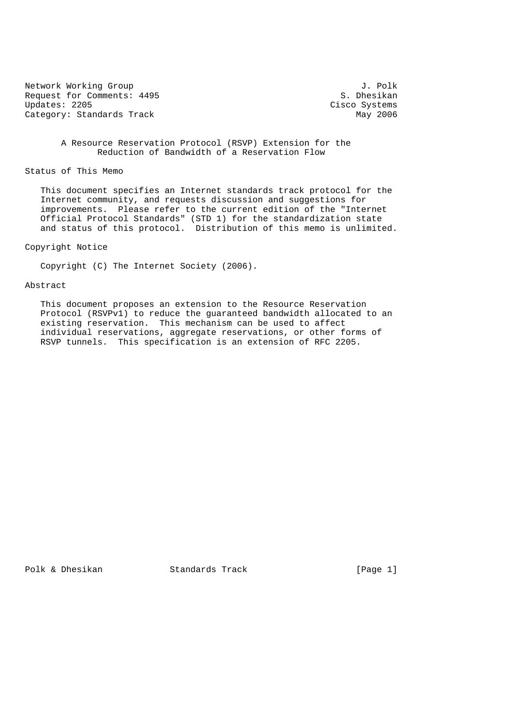Network Working Group J. Polk<br>Request for Comments: 4495 S. Dhesikan Request for Comments: 4495<br>Updates: 2205 Category: Standards Track

Cisco Systems<br>May 2006

 A Resource Reservation Protocol (RSVP) Extension for the Reduction of Bandwidth of a Reservation Flow

Status of This Memo

 This document specifies an Internet standards track protocol for the Internet community, and requests discussion and suggestions for improvements. Please refer to the current edition of the "Internet Official Protocol Standards" (STD 1) for the standardization state and status of this protocol. Distribution of this memo is unlimited.

Copyright Notice

Copyright (C) The Internet Society (2006).

#### Abstract

 This document proposes an extension to the Resource Reservation Protocol (RSVPv1) to reduce the guaranteed bandwidth allocated to an existing reservation. This mechanism can be used to affect individual reservations, aggregate reservations, or other forms of RSVP tunnels. This specification is an extension of RFC 2205.

Polk & Dhesikan Standards Track [Page 1]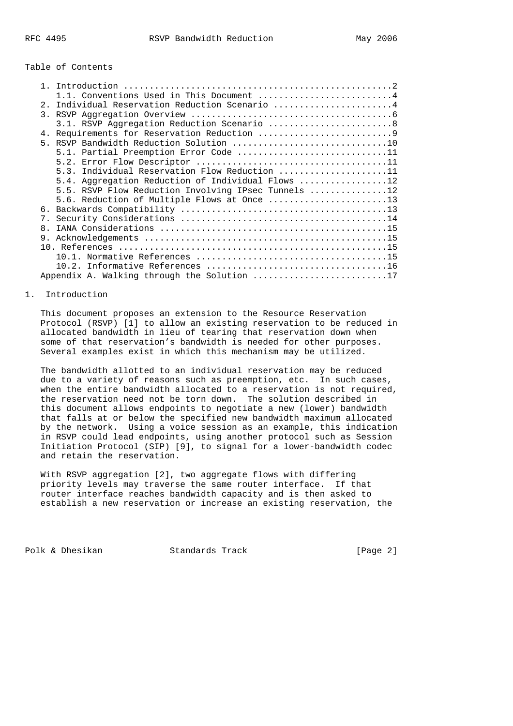# Table of Contents

|              | Conventions Used in This Document 4                 |
|--------------|-----------------------------------------------------|
| 2.1          | Individual Reservation Reduction Scenario 4         |
|              |                                                     |
|              | 3.1. RSVP Aggregation Reduction Scenario 8          |
|              |                                                     |
|              |                                                     |
|              | 5.1. Partial Preemption Error Code 11               |
|              |                                                     |
|              | 5.3. Individual Reservation Flow Reduction 11       |
|              | 5.4. Aggregation Reduction of Individual Flows 12   |
|              | 5.5. RSVP Flow Reduction Involving IPsec Tunnels 12 |
|              | 5.6. Reduction of Multiple Flows at Once 13         |
|              |                                                     |
| $7$ .        |                                                     |
| $\mathsf{R}$ |                                                     |
| 9.           |                                                     |
|              |                                                     |
|              |                                                     |
|              |                                                     |
|              | Appendix A. Walking through the Solution 17         |

### 1. Introduction

 This document proposes an extension to the Resource Reservation Protocol (RSVP) [1] to allow an existing reservation to be reduced in allocated bandwidth in lieu of tearing that reservation down when some of that reservation's bandwidth is needed for other purposes. Several examples exist in which this mechanism may be utilized.

 The bandwidth allotted to an individual reservation may be reduced due to a variety of reasons such as preemption, etc. In such cases, when the entire bandwidth allocated to a reservation is not required, the reservation need not be torn down. The solution described in this document allows endpoints to negotiate a new (lower) bandwidth that falls at or below the specified new bandwidth maximum allocated by the network. Using a voice session as an example, this indication in RSVP could lead endpoints, using another protocol such as Session Initiation Protocol (SIP) [9], to signal for a lower-bandwidth codec and retain the reservation.

 With RSVP aggregation [2], two aggregate flows with differing priority levels may traverse the same router interface. If that router interface reaches bandwidth capacity and is then asked to establish a new reservation or increase an existing reservation, the

Polk & Dhesikan Standards Track [Page 2]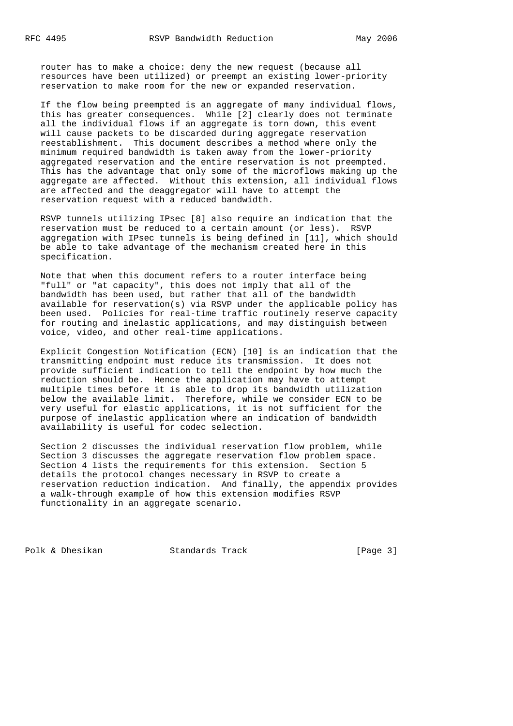router has to make a choice: deny the new request (because all resources have been utilized) or preempt an existing lower-priority reservation to make room for the new or expanded reservation.

 If the flow being preempted is an aggregate of many individual flows, this has greater consequences. While [2] clearly does not terminate all the individual flows if an aggregate is torn down, this event will cause packets to be discarded during aggregate reservation reestablishment. This document describes a method where only the minimum required bandwidth is taken away from the lower-priority aggregated reservation and the entire reservation is not preempted. This has the advantage that only some of the microflows making up the aggregate are affected. Without this extension, all individual flows are affected and the deaggregator will have to attempt the reservation request with a reduced bandwidth.

 RSVP tunnels utilizing IPsec [8] also require an indication that the reservation must be reduced to a certain amount (or less). RSVP aggregation with IPsec tunnels is being defined in [11], which should be able to take advantage of the mechanism created here in this specification.

 Note that when this document refers to a router interface being "full" or "at capacity", this does not imply that all of the bandwidth has been used, but rather that all of the bandwidth available for reservation(s) via RSVP under the applicable policy has been used. Policies for real-time traffic routinely reserve capacity for routing and inelastic applications, and may distinguish between voice, video, and other real-time applications.

 Explicit Congestion Notification (ECN) [10] is an indication that the transmitting endpoint must reduce its transmission. It does not provide sufficient indication to tell the endpoint by how much the reduction should be. Hence the application may have to attempt multiple times before it is able to drop its bandwidth utilization below the available limit. Therefore, while we consider ECN to be very useful for elastic applications, it is not sufficient for the purpose of inelastic application where an indication of bandwidth availability is useful for codec selection.

 Section 2 discusses the individual reservation flow problem, while Section 3 discusses the aggregate reservation flow problem space. Section 4 lists the requirements for this extension. Section 5 details the protocol changes necessary in RSVP to create a reservation reduction indication. And finally, the appendix provides a walk-through example of how this extension modifies RSVP functionality in an aggregate scenario.

Polk & Dhesikan Standards Track [Page 3]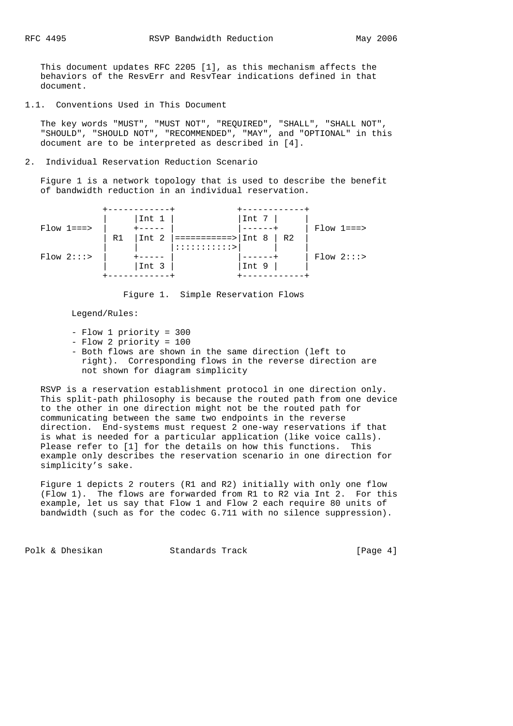This document updates RFC 2205 [1], as this mechanism affects the behaviors of the ResvErr and ResvTear indications defined in that document.

1.1. Conventions Used in This Document

 The key words "MUST", "MUST NOT", "REQUIRED", "SHALL", "SHALL NOT", The key words most , most not , magdings, since , since it ...<br>"SHOULD", "SHOULD NOT", "RECOMMENDED", "MAY", and "OPTIONAL" in this document are to be interpreted as described in [4].

2. Individual Reservation Reduction Scenario

 Figure 1 is a network topology that is used to describe the benefit of bandwidth reduction in an individual reservation.



Figure 1. Simple Reservation Flows

Legend/Rules:

- Flow 1 priority = 300
- Flow 2 priority = 100
- Both flows are shown in the same direction (left to right). Corresponding flows in the reverse direction are not shown for diagram simplicity

 RSVP is a reservation establishment protocol in one direction only. This split-path philosophy is because the routed path from one device to the other in one direction might not be the routed path for communicating between the same two endpoints in the reverse direction. End-systems must request 2 one-way reservations if that is what is needed for a particular application (like voice calls). Please refer to [1] for the details on how this functions. This example only describes the reservation scenario in one direction for simplicity's sake.

 Figure 1 depicts 2 routers (R1 and R2) initially with only one flow (Flow 1). The flows are forwarded from R1 to R2 via Int 2. For this example, let us say that Flow 1 and Flow 2 each require 80 units of bandwidth (such as for the codec G.711 with no silence suppression).

Polk & Dhesikan Standards Track [Page 4]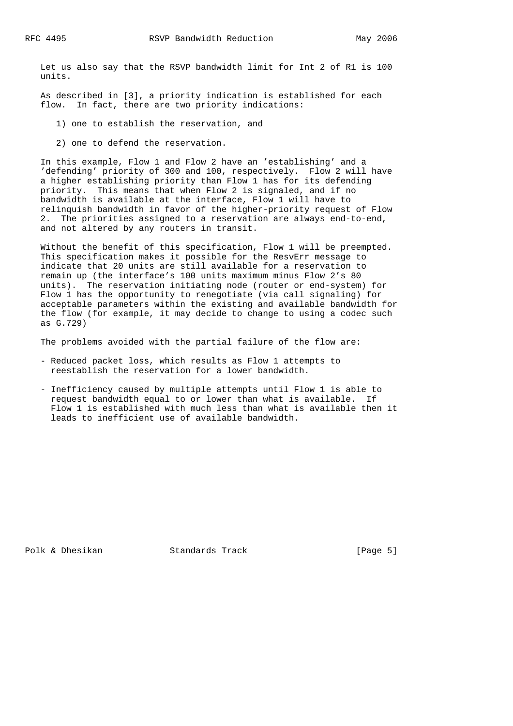Let us also say that the RSVP bandwidth limit for Int 2 of R1 is 100 units.

 As described in [3], a priority indication is established for each flow. In fact, there are two priority indications:

- 1) one to establish the reservation, and
- 2) one to defend the reservation.

 In this example, Flow 1 and Flow 2 have an 'establishing' and a 'defending' priority of 300 and 100, respectively. Flow 2 will have a higher establishing priority than Flow 1 has for its defending priority. This means that when Flow 2 is signaled, and if no bandwidth is available at the interface, Flow 1 will have to relinquish bandwidth in favor of the higher-priority request of Flow 2. The priorities assigned to a reservation are always end-to-end, and not altered by any routers in transit.

 Without the benefit of this specification, Flow 1 will be preempted. This specification makes it possible for the ResvErr message to indicate that 20 units are still available for a reservation to remain up (the interface's 100 units maximum minus Flow 2's 80 units). The reservation initiating node (router or end-system) for Flow 1 has the opportunity to renegotiate (via call signaling) for acceptable parameters within the existing and available bandwidth for the flow (for example, it may decide to change to using a codec such as G.729)

The problems avoided with the partial failure of the flow are:

- Reduced packet loss, which results as Flow 1 attempts to reestablish the reservation for a lower bandwidth.
- Inefficiency caused by multiple attempts until Flow 1 is able to request bandwidth equal to or lower than what is available. If Flow 1 is established with much less than what is available then it leads to inefficient use of available bandwidth.

Polk & Dhesikan Standards Track [Page 5]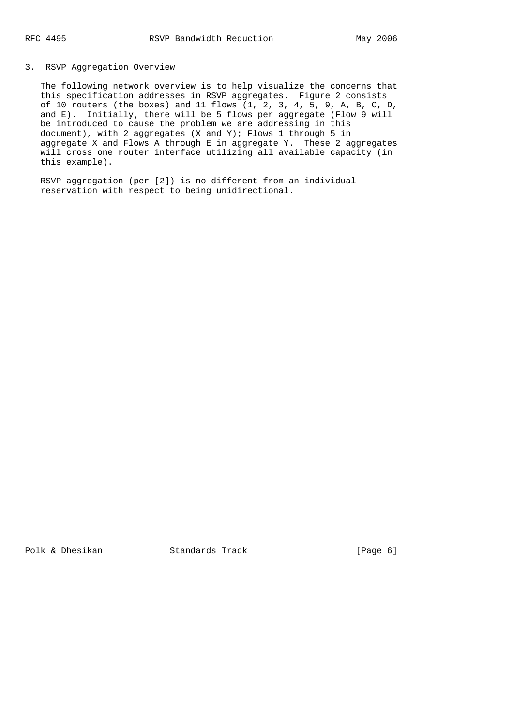# 3. RSVP Aggregation Overview

 The following network overview is to help visualize the concerns that this specification addresses in RSVP aggregates. Figure 2 consists of 10 routers (the boxes) and 11 flows  $(1, 2, 3, 4, 5, 9, A, B, C, D,$  and E). Initially, there will be 5 flows per aggregate (Flow 9 will be introduced to cause the problem we are addressing in this document), with 2 aggregates (X and Y); Flows 1 through 5 in aggregate X and Flows A through E in aggregate Y. These 2 aggregates will cross one router interface utilizing all available capacity (in this example).

 RSVP aggregation (per [2]) is no different from an individual reservation with respect to being unidirectional.

Polk & Dhesikan Standards Track [Page 6]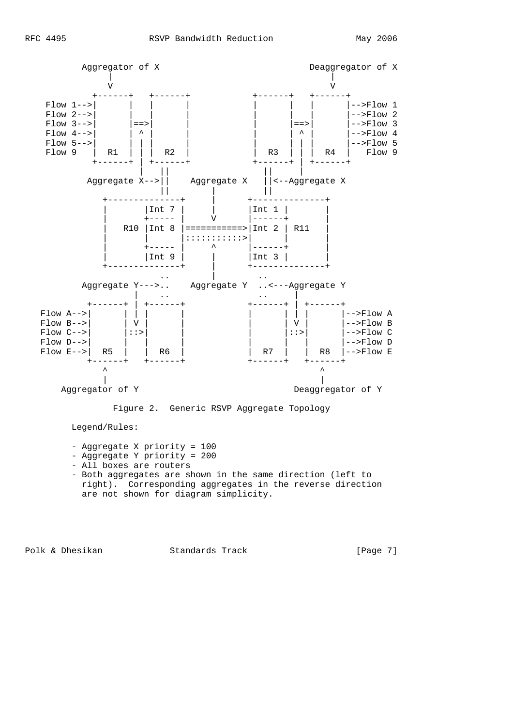

Legend/Rules:

- Aggregate X priority = 100
- Aggregate Y priority = 200
- All boxes are routers
- Both aggregates are shown in the same direction (left to right). Corresponding aggregates in the reverse direction are not shown for diagram simplicity.

Polk & Dhesikan Standards Track [Page 7]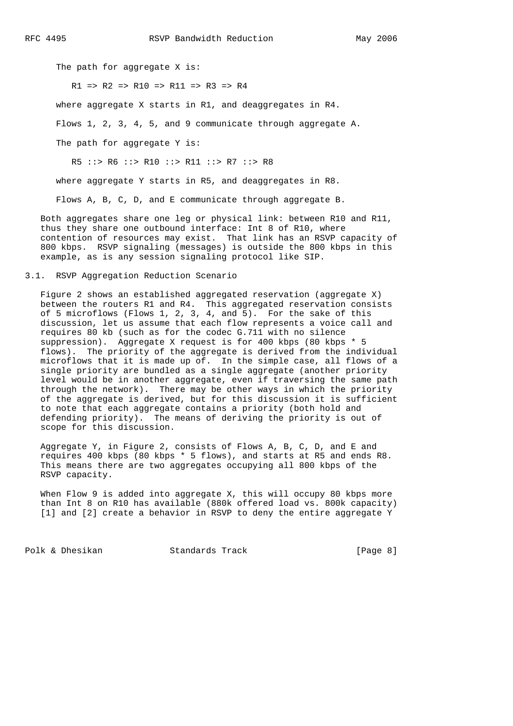The path for aggregate X is:

 $R1$  =>  $R2$  =>  $R10$  =>  $R11$  =>  $R3$  =>  $R4$ 

where aggregate X starts in R1, and deaggregates in R4.

Flows 1, 2, 3, 4, 5, and 9 communicate through aggregate A.

The path for aggregate Y is:

R5 ::> R6 ::> R10 ::> R11 ::> R7 ::> R8

where aggregate Y starts in R5, and deaggregates in R8.

Flows A, B, C, D, and E communicate through aggregate B.

 Both aggregates share one leg or physical link: between R10 and R11, thus they share one outbound interface: Int 8 of R10, where contention of resources may exist. That link has an RSVP capacity of 800 kbps. RSVP signaling (messages) is outside the 800 kbps in this example, as is any session signaling protocol like SIP.

## 3.1. RSVP Aggregation Reduction Scenario

 Figure 2 shows an established aggregated reservation (aggregate X) between the routers R1 and R4. This aggregated reservation consists of 5 microflows (Flows 1, 2, 3, 4, and 5). For the sake of this discussion, let us assume that each flow represents a voice call and requires 80 kb (such as for the codec G.711 with no silence suppression). Aggregate X request is for 400 kbps (80 kbps \* 5 flows). The priority of the aggregate is derived from the individual microflows that it is made up of. In the simple case, all flows of a single priority are bundled as a single aggregate (another priority level would be in another aggregate, even if traversing the same path through the network). There may be other ways in which the priority of the aggregate is derived, but for this discussion it is sufficient to note that each aggregate contains a priority (both hold and defending priority). The means of deriving the priority is out of scope for this discussion.

 Aggregate Y, in Figure 2, consists of Flows A, B, C, D, and E and requires 400 kbps (80 kbps \* 5 flows), and starts at R5 and ends R8. This means there are two aggregates occupying all 800 kbps of the RSVP capacity.

When Flow 9 is added into aggregate X, this will occupy 80 kbps more than Int 8 on R10 has available (880k offered load vs. 800k capacity) [1] and [2] create a behavior in RSVP to deny the entire aggregate Y

Polk & Dhesikan Standards Track [Page 8]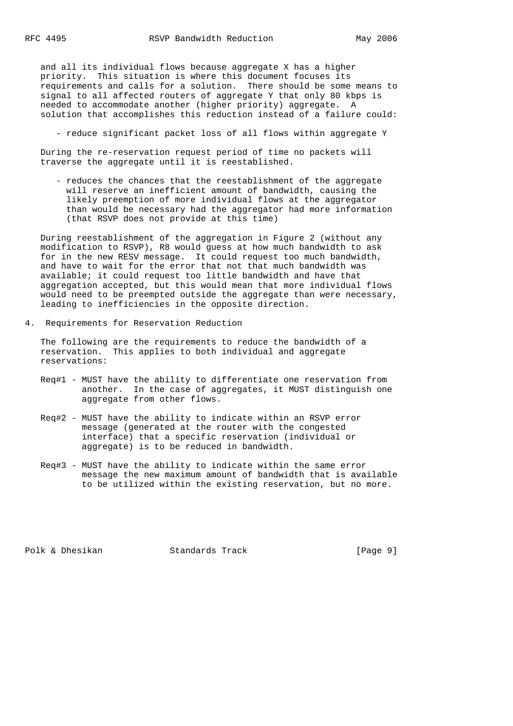and all its individual flows because aggregate X has a higher priority. This situation is where this document focuses its requirements and calls for a solution. There should be some means to signal to all affected routers of aggregate Y that only 80 kbps is needed to accommodate another (higher priority) aggregate. A solution that accomplishes this reduction instead of a failure could:

- reduce significant packet loss of all flows within aggregate Y

 During the re-reservation request period of time no packets will traverse the aggregate until it is reestablished.

 - reduces the chances that the reestablishment of the aggregate will reserve an inefficient amount of bandwidth, causing the likely preemption of more individual flows at the aggregator than would be necessary had the aggregator had more information (that RSVP does not provide at this time)

 During reestablishment of the aggregation in Figure 2 (without any modification to RSVP), R8 would guess at how much bandwidth to ask for in the new RESV message. It could request too much bandwidth, and have to wait for the error that not that much bandwidth was available; it could request too little bandwidth and have that aggregation accepted, but this would mean that more individual flows would need to be preempted outside the aggregate than were necessary, leading to inefficiencies in the opposite direction.

4. Requirements for Reservation Reduction

 The following are the requirements to reduce the bandwidth of a reservation. This applies to both individual and aggregate reservations:

- Req#1 MUST have the ability to differentiate one reservation from another. In the case of aggregates, it MUST distinguish one aggregate from other flows.
- Req#2 MUST have the ability to indicate within an RSVP error message (generated at the router with the congested interface) that a specific reservation (individual or aggregate) is to be reduced in bandwidth.
- Req#3 MUST have the ability to indicate within the same error message the new maximum amount of bandwidth that is available to be utilized within the existing reservation, but no more.

Polk & Dhesikan Standards Track [Page 9]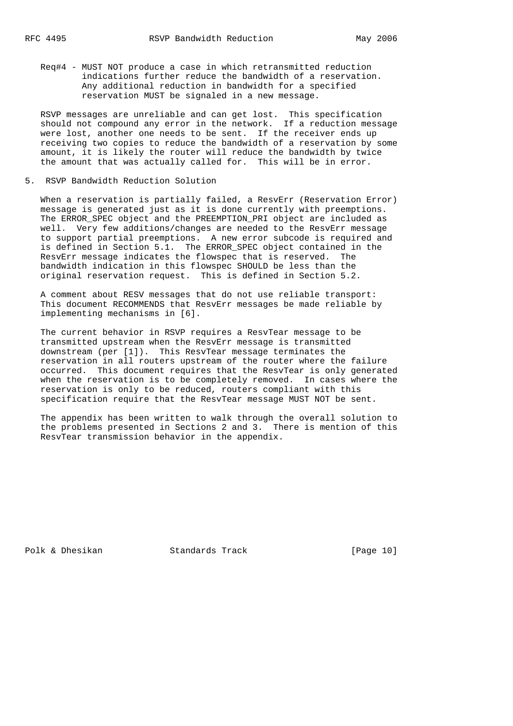Req#4 - MUST NOT produce a case in which retransmitted reduction indications further reduce the bandwidth of a reservation. Any additional reduction in bandwidth for a specified reservation MUST be signaled in a new message.

 RSVP messages are unreliable and can get lost. This specification should not compound any error in the network. If a reduction message were lost, another one needs to be sent. If the receiver ends up receiving two copies to reduce the bandwidth of a reservation by some amount, it is likely the router will reduce the bandwidth by twice the amount that was actually called for. This will be in error.

5. RSVP Bandwidth Reduction Solution

 When a reservation is partially failed, a ResvErr (Reservation Error) message is generated just as it is done currently with preemptions. The ERROR\_SPEC object and the PREEMPTION\_PRI object are included as well. Very few additions/changes are needed to the ResvErr message to support partial preemptions. A new error subcode is required and is defined in Section 5.1. The ERROR\_SPEC object contained in the ResvErr message indicates the flowspec that is reserved. The bandwidth indication in this flowspec SHOULD be less than the original reservation request. This is defined in Section 5.2.

 A comment about RESV messages that do not use reliable transport: This document RECOMMENDS that ResvErr messages be made reliable by implementing mechanisms in [6].

 The current behavior in RSVP requires a ResvTear message to be transmitted upstream when the ResvErr message is transmitted downstream (per [1]). This ResvTear message terminates the reservation in all routers upstream of the router where the failure occurred. This document requires that the ResvTear is only generated when the reservation is to be completely removed. In cases where the reservation is only to be reduced, routers compliant with this specification require that the ResvTear message MUST NOT be sent.

 The appendix has been written to walk through the overall solution to the problems presented in Sections 2 and 3. There is mention of this ResvTear transmission behavior in the appendix.

Polk & Dhesikan Standards Track [Page 10]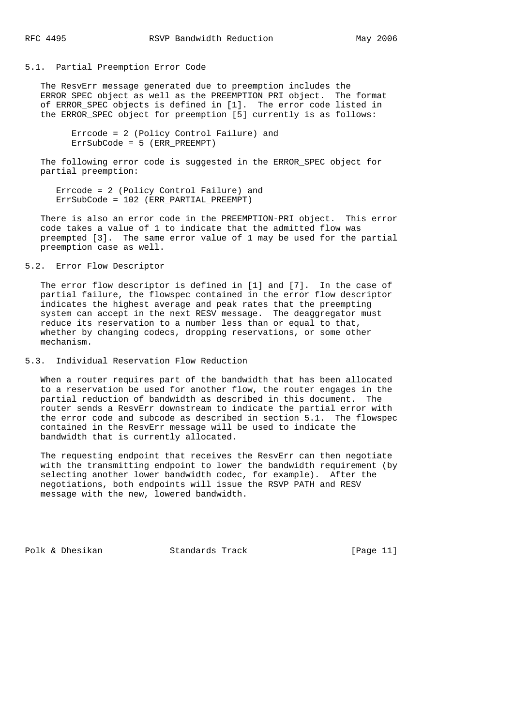### 5.1. Partial Preemption Error Code

 The ResvErr message generated due to preemption includes the ERROR\_SPEC object as well as the PREEMPTION\_PRI object. The format of ERROR\_SPEC objects is defined in [1]. The error code listed in the ERROR\_SPEC object for preemption [5] currently is as follows:

 Errcode = 2 (Policy Control Failure) and ErrSubCode = 5 (ERR\_PREEMPT)

 The following error code is suggested in the ERROR\_SPEC object for partial preemption:

 Errcode = 2 (Policy Control Failure) and ErrSubCode = 102 (ERR\_PARTIAL\_PREEMPT)

 There is also an error code in the PREEMPTION-PRI object. This error code takes a value of 1 to indicate that the admitted flow was preempted [3]. The same error value of 1 may be used for the partial preemption case as well.

# 5.2. Error Flow Descriptor

 The error flow descriptor is defined in [1] and [7]. In the case of partial failure, the flowspec contained in the error flow descriptor indicates the highest average and peak rates that the preempting system can accept in the next RESV message. The deaggregator must reduce its reservation to a number less than or equal to that, whether by changing codecs, dropping reservations, or some other mechanism.

5.3. Individual Reservation Flow Reduction

 When a router requires part of the bandwidth that has been allocated to a reservation be used for another flow, the router engages in the partial reduction of bandwidth as described in this document. The router sends a ResvErr downstream to indicate the partial error with the error code and subcode as described in section 5.1. The flowspec contained in the ResvErr message will be used to indicate the bandwidth that is currently allocated.

The requesting endpoint that receives the ResvErr can then negotiate with the transmitting endpoint to lower the bandwidth requirement (by selecting another lower bandwidth codec, for example). After the negotiations, both endpoints will issue the RSVP PATH and RESV message with the new, lowered bandwidth.

Polk & Dhesikan Standards Track [Page 11]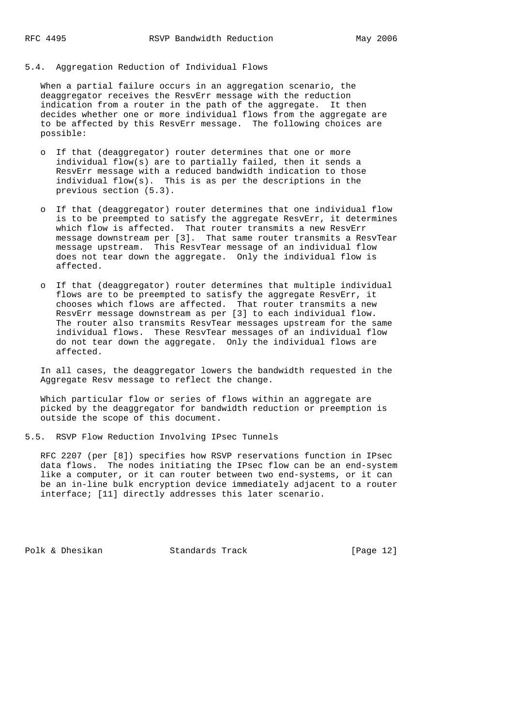# 5.4. Aggregation Reduction of Individual Flows

 When a partial failure occurs in an aggregation scenario, the deaggregator receives the ResvErr message with the reduction indication from a router in the path of the aggregate. It then decides whether one or more individual flows from the aggregate are to be affected by this ResvErr message. The following choices are possible:

- o If that (deaggregator) router determines that one or more individual flow(s) are to partially failed, then it sends a ResvErr message with a reduced bandwidth indication to those individual flow(s). This is as per the descriptions in the previous section (5.3).
- o If that (deaggregator) router determines that one individual flow is to be preempted to satisfy the aggregate ResvErr, it determines which flow is affected. That router transmits a new ResvErr message downstream per [3]. That same router transmits a ResvTear message upstream. This ResvTear message of an individual flow does not tear down the aggregate. Only the individual flow is affected.
- o If that (deaggregator) router determines that multiple individual flows are to be preempted to satisfy the aggregate ResvErr, it chooses which flows are affected. That router transmits a new ResvErr message downstream as per [3] to each individual flow. The router also transmits ResvTear messages upstream for the same individual flows. These ResvTear messages of an individual flow do not tear down the aggregate. Only the individual flows are affected.

 In all cases, the deaggregator lowers the bandwidth requested in the Aggregate Resv message to reflect the change.

 Which particular flow or series of flows within an aggregate are picked by the deaggregator for bandwidth reduction or preemption is outside the scope of this document.

5.5. RSVP Flow Reduction Involving IPsec Tunnels

 RFC 2207 (per [8]) specifies how RSVP reservations function in IPsec data flows. The nodes initiating the IPsec flow can be an end-system like a computer, or it can router between two end-systems, or it can be an in-line bulk encryption device immediately adjacent to a router interface; [11] directly addresses this later scenario.

Polk & Dhesikan Standards Track [Page 12]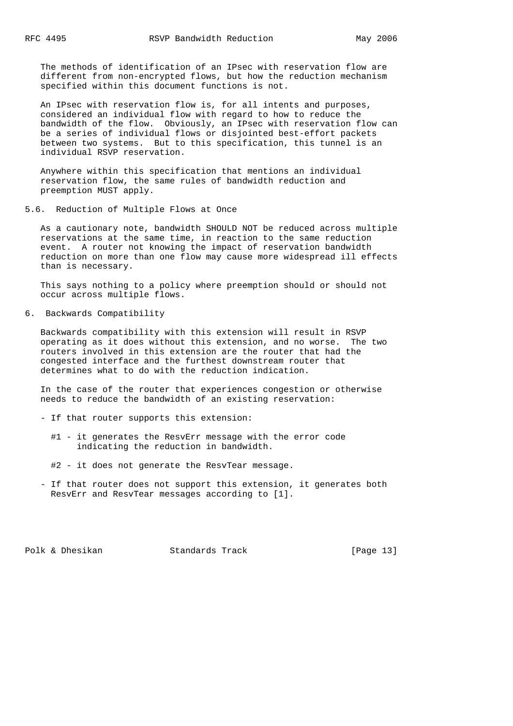The methods of identification of an IPsec with reservation flow are different from non-encrypted flows, but how the reduction mechanism specified within this document functions is not.

 An IPsec with reservation flow is, for all intents and purposes, considered an individual flow with regard to how to reduce the bandwidth of the flow. Obviously, an IPsec with reservation flow can be a series of individual flows or disjointed best-effort packets between two systems. But to this specification, this tunnel is an individual RSVP reservation.

 Anywhere within this specification that mentions an individual reservation flow, the same rules of bandwidth reduction and preemption MUST apply.

5.6. Reduction of Multiple Flows at Once

 As a cautionary note, bandwidth SHOULD NOT be reduced across multiple reservations at the same time, in reaction to the same reduction event. A router not knowing the impact of reservation bandwidth reduction on more than one flow may cause more widespread ill effects than is necessary.

 This says nothing to a policy where preemption should or should not occur across multiple flows.

6. Backwards Compatibility

 Backwards compatibility with this extension will result in RSVP operating as it does without this extension, and no worse. The two routers involved in this extension are the router that had the congested interface and the furthest downstream router that determines what to do with the reduction indication.

 In the case of the router that experiences congestion or otherwise needs to reduce the bandwidth of an existing reservation:

- If that router supports this extension:
	- #1 it generates the ResvErr message with the error code indicating the reduction in bandwidth.
	- #2 it does not generate the ResvTear message.
- If that router does not support this extension, it generates both ResvErr and ResvTear messages according to [1].

Polk & Dhesikan Standards Track [Page 13]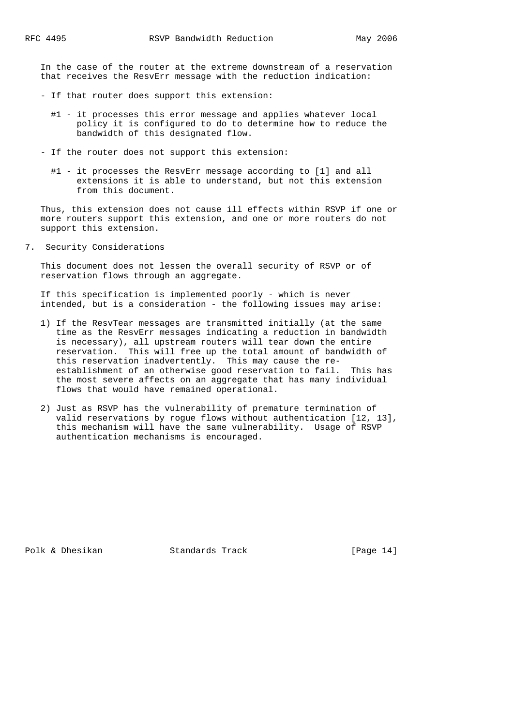In the case of the router at the extreme downstream of a reservation that receives the ResvErr message with the reduction indication:

- If that router does support this extension:
	- #1 it processes this error message and applies whatever local policy it is configured to do to determine how to reduce the bandwidth of this designated flow.
- If the router does not support this extension:
	- #1 it processes the ResvErr message according to [1] and all extensions it is able to understand, but not this extension from this document.

 Thus, this extension does not cause ill effects within RSVP if one or more routers support this extension, and one or more routers do not support this extension.

7. Security Considerations

 This document does not lessen the overall security of RSVP or of reservation flows through an aggregate.

 If this specification is implemented poorly - which is never intended, but is a consideration - the following issues may arise:

- 1) If the ResvTear messages are transmitted initially (at the same time as the ResvErr messages indicating a reduction in bandwidth is necessary), all upstream routers will tear down the entire reservation. This will free up the total amount of bandwidth of this reservation inadvertently. This may cause the re establishment of an otherwise good reservation to fail. This has the most severe affects on an aggregate that has many individual flows that would have remained operational.
- 2) Just as RSVP has the vulnerability of premature termination of valid reservations by rogue flows without authentication [12, 13], this mechanism will have the same vulnerability. Usage of RSVP authentication mechanisms is encouraged.

Polk & Dhesikan Standards Track [Page 14]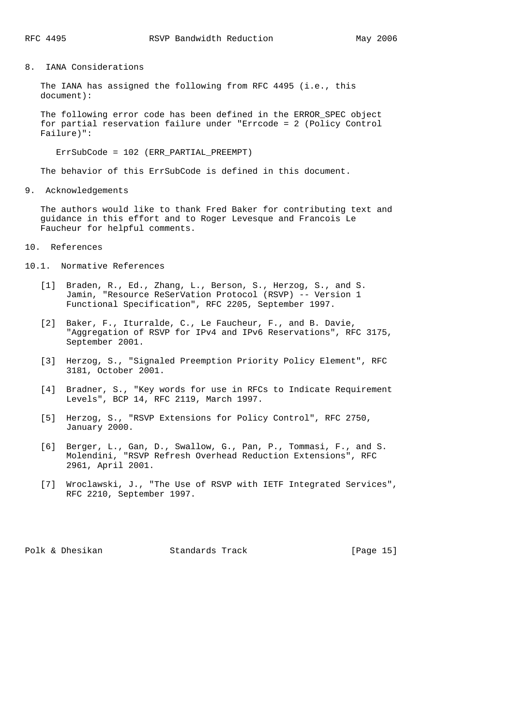8. IANA Considerations

 The IANA has assigned the following from RFC 4495 (i.e., this document):

 The following error code has been defined in the ERROR\_SPEC object for partial reservation failure under "Errcode = 2 (Policy Control Failure)":

ErrSubCode = 102 (ERR\_PARTIAL\_PREEMPT)

The behavior of this ErrSubCode is defined in this document.

9. Acknowledgements

 The authors would like to thank Fred Baker for contributing text and guidance in this effort and to Roger Levesque and Francois Le Faucheur for helpful comments.

10. References

- 10.1. Normative References
	- [1] Braden, R., Ed., Zhang, L., Berson, S., Herzog, S., and S. Jamin, "Resource ReSerVation Protocol (RSVP) -- Version 1 Functional Specification", RFC 2205, September 1997.
	- [2] Baker, F., Iturralde, C., Le Faucheur, F., and B. Davie, "Aggregation of RSVP for IPv4 and IPv6 Reservations", RFC 3175, September 2001.
	- [3] Herzog, S., "Signaled Preemption Priority Policy Element", RFC 3181, October 2001.
	- [4] Bradner, S., "Key words for use in RFCs to Indicate Requirement Levels", BCP 14, RFC 2119, March 1997.
	- [5] Herzog, S., "RSVP Extensions for Policy Control", RFC 2750, January 2000.
	- [6] Berger, L., Gan, D., Swallow, G., Pan, P., Tommasi, F., and S. Molendini, "RSVP Refresh Overhead Reduction Extensions", RFC 2961, April 2001.
	- [7] Wroclawski, J., "The Use of RSVP with IETF Integrated Services", RFC 2210, September 1997.

Polk & Dhesikan Standards Track [Page 15]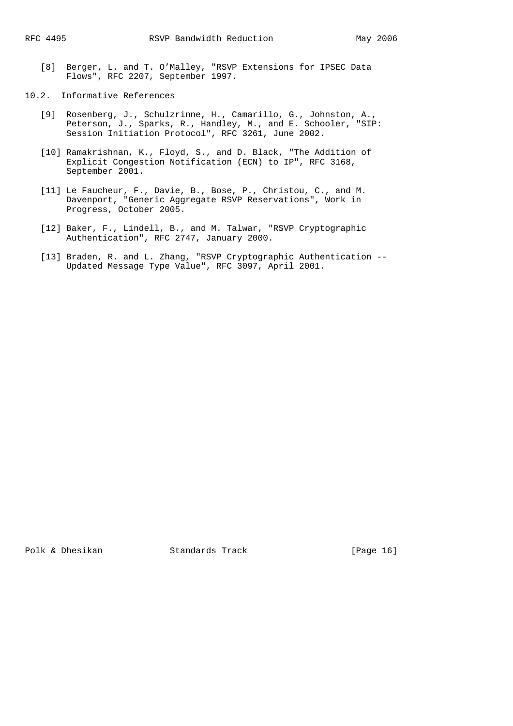- [8] Berger, L. and T. O'Malley, "RSVP Extensions for IPSEC Data Flows", RFC 2207, September 1997.
- 10.2. Informative References
	- [9] Rosenberg, J., Schulzrinne, H., Camarillo, G., Johnston, A., Peterson, J., Sparks, R., Handley, M., and E. Schooler, "SIP: Session Initiation Protocol", RFC 3261, June 2002.
	- [10] Ramakrishnan, K., Floyd, S., and D. Black, "The Addition of Explicit Congestion Notification (ECN) to IP", RFC 3168, September 2001.
	- [11] Le Faucheur, F., Davie, B., Bose, P., Christou, C., and M. Davenport, "Generic Aggregate RSVP Reservations", Work in Progress, October 2005.
	- [12] Baker, F., Lindell, B., and M. Talwar, "RSVP Cryptographic Authentication", RFC 2747, January 2000.
	- [13] Braden, R. and L. Zhang, "RSVP Cryptographic Authentication -- Updated Message Type Value", RFC 3097, April 2001.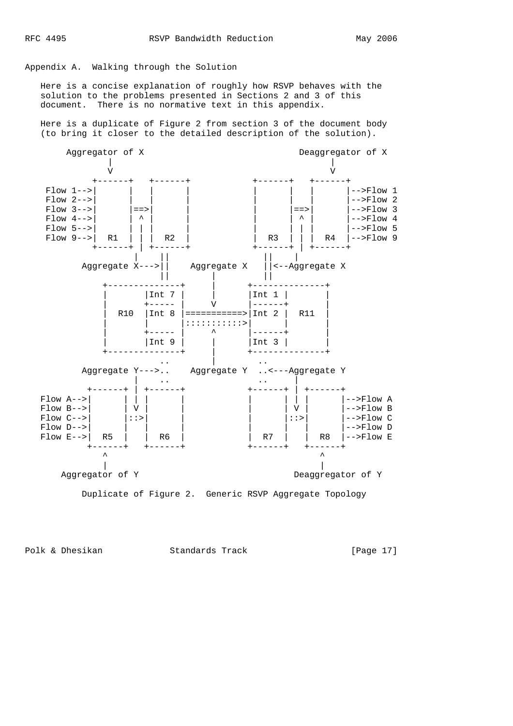# Appendix A. Walking through the Solution

 Here is a concise explanation of roughly how RSVP behaves with the solution to the problems presented in Sections 2 and 3 of this document. There is no normative text in this appendix.

 Here is a duplicate of Figure 2 from section 3 of the document body (to bring it closer to the detailed description of the solution).



Polk & Dhesikan Standards Track [Page 17]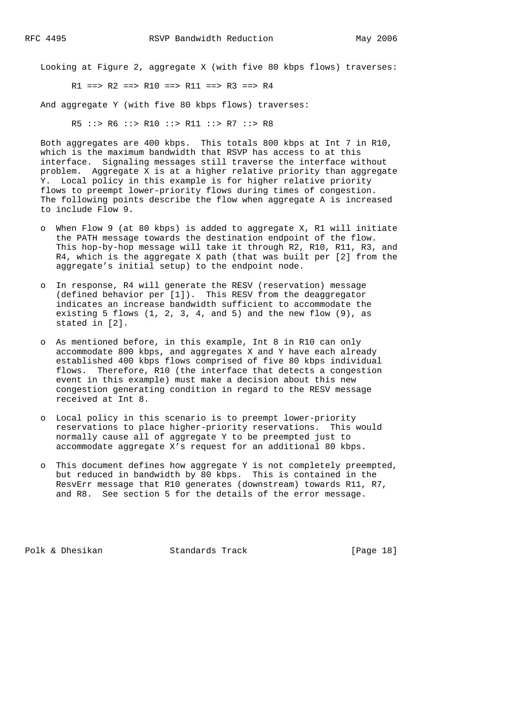Looking at Figure 2, aggregate X (with five 80 kbps flows) traverses:

 $R1 == R2 == R10 == R11 == R3 == R4$ 

And aggregate Y (with five 80 kbps flows) traverses:

R5 ::> R6 ::> R10 ::> R11 ::> R7 ::> R8

 Both aggregates are 400 kbps. This totals 800 kbps at Int 7 in R10, which is the maximum bandwidth that RSVP has access to at this interface. Signaling messages still traverse the interface without problem. Aggregate X is at a higher relative priority than aggregate Y. Local policy in this example is for higher relative priority flows to preempt lower-priority flows during times of congestion. The following points describe the flow when aggregate A is increased to include Flow 9.

- o When Flow 9 (at 80 kbps) is added to aggregate X, R1 will initiate the PATH message towards the destination endpoint of the flow. This hop-by-hop message will take it through R2, R10, R11, R3, and R4, which is the aggregate X path (that was built per [2] from the aggregate's initial setup) to the endpoint node.
- o In response, R4 will generate the RESV (reservation) message (defined behavior per [1]). This RESV from the deaggregator indicates an increase bandwidth sufficient to accommodate the existing 5 flows (1, 2, 3, 4, and 5) and the new flow (9), as stated in [2].
- o As mentioned before, in this example, Int 8 in R10 can only accommodate 800 kbps, and aggregates X and Y have each already established 400 kbps flows comprised of five 80 kbps individual flows. Therefore, R10 (the interface that detects a congestion event in this example) must make a decision about this new congestion generating condition in regard to the RESV message received at Int 8.
- o Local policy in this scenario is to preempt lower-priority reservations to place higher-priority reservations. This would normally cause all of aggregate Y to be preempted just to accommodate aggregate X's request for an additional 80 kbps.
- o This document defines how aggregate Y is not completely preempted, but reduced in bandwidth by 80 kbps. This is contained in the ResvErr message that R10 generates (downstream) towards R11, R7, and R8. See section 5 for the details of the error message.

Polk & Dhesikan Standards Track [Page 18]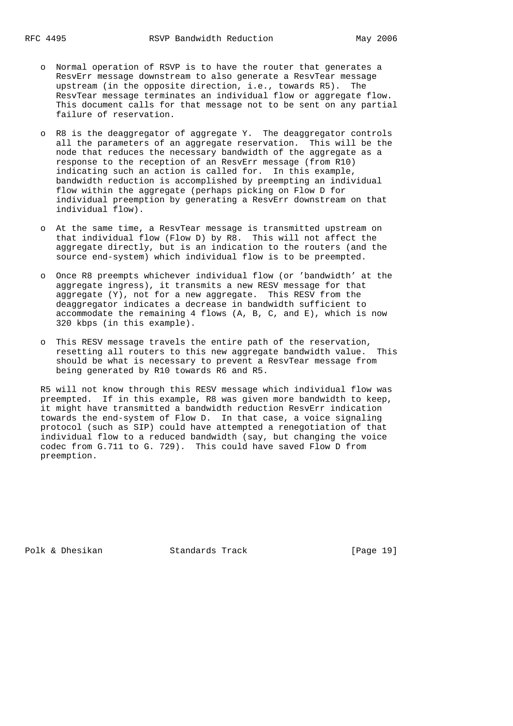- o Normal operation of RSVP is to have the router that generates a ResvErr message downstream to also generate a ResvTear message upstream (in the opposite direction, i.e., towards R5). The ResvTear message terminates an individual flow or aggregate flow. This document calls for that message not to be sent on any partial
- o R8 is the deaggregator of aggregate Y. The deaggregator controls all the parameters of an aggregate reservation. This will be the node that reduces the necessary bandwidth of the aggregate as a response to the reception of an ResvErr message (from R10) indicating such an action is called for. In this example, bandwidth reduction is accomplished by preempting an individual flow within the aggregate (perhaps picking on Flow D for individual preemption by generating a ResvErr downstream on that individual flow).
- o At the same time, a ResvTear message is transmitted upstream on that individual flow (Flow D) by R8. This will not affect the aggregate directly, but is an indication to the routers (and the source end-system) which individual flow is to be preempted.
- o Once R8 preempts whichever individual flow (or 'bandwidth' at the aggregate ingress), it transmits a new RESV message for that aggregate (Y), not for a new aggregate. This RESV from the deaggregator indicates a decrease in bandwidth sufficient to accommodate the remaining 4 flows  $(A, B, C, and E)$ , which is now 320 kbps (in this example).
	- o This RESV message travels the entire path of the reservation, resetting all routers to this new aggregate bandwidth value. This should be what is necessary to prevent a ResvTear message from being generated by R10 towards R6 and R5.

 R5 will not know through this RESV message which individual flow was preempted. If in this example, R8 was given more bandwidth to keep, it might have transmitted a bandwidth reduction ResvErr indication towards the end-system of Flow D. In that case, a voice signaling protocol (such as SIP) could have attempted a renegotiation of that individual flow to a reduced bandwidth (say, but changing the voice codec from G.711 to G. 729). This could have saved Flow D from preemption.

Polk & Dhesikan Standards Track [Page 19]

failure of reservation.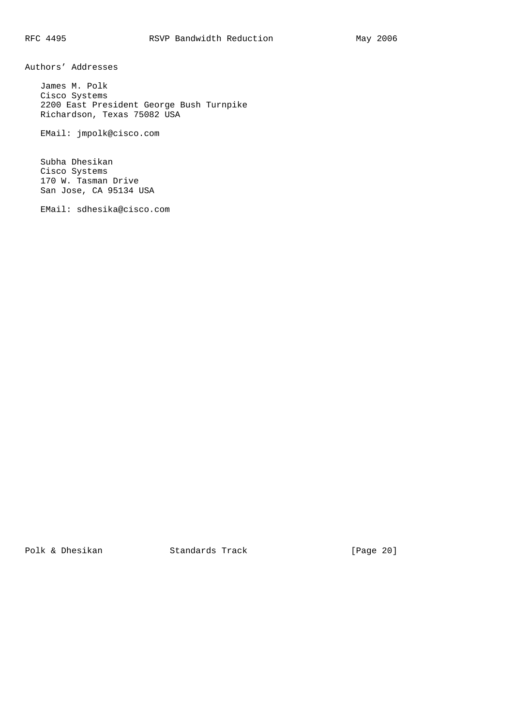Authors' Addresses

 James M. Polk Cisco Systems 2200 East President George Bush Turnpike Richardson, Texas 75082 USA

EMail: jmpolk@cisco.com

 Subha Dhesikan Cisco Systems 170 W. Tasman Drive San Jose, CA 95134 USA

EMail: sdhesika@cisco.com